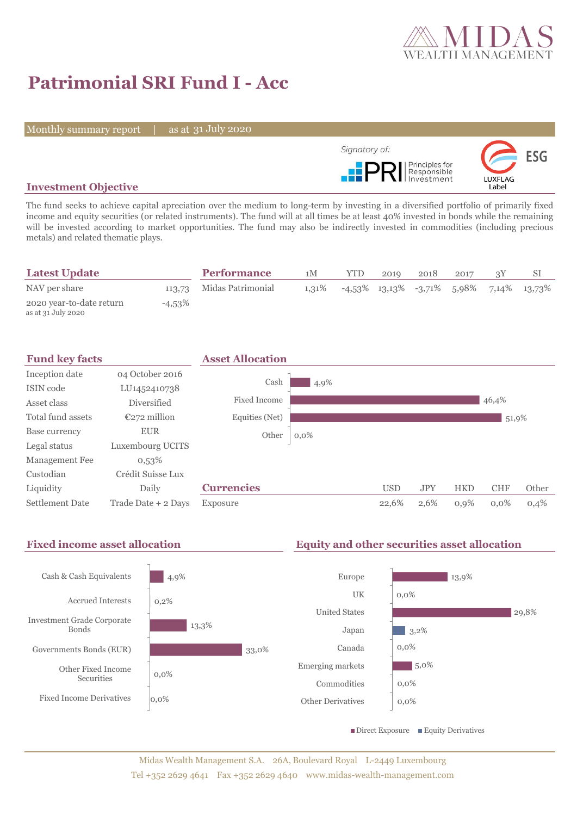

# **Patrimonial SRI Fund I - Acc**

Monthly summary report | as at 31 July 2020



#### **Investment Objective**

The fund seeks to achieve capital apreciation over the medium to long-term by investing in a diversified portfolio of primarily fixed income and equity securities (or related instruments). The fund will at all times be at least 40% invested in bonds while the remaining will be invested according to market opportunities. The fund may also be indirectly invested in commodities (including precious metals) and related thematic plays.

| <b>Latest Update</b>                           |           | <b>Performance</b>       | 1M    | <b>YTD</b> | 2019 | 2018 | 2017 |                                            |
|------------------------------------------------|-----------|--------------------------|-------|------------|------|------|------|--------------------------------------------|
| NAV per share                                  |           | 113,73 Midas Patrimonial | 1.31% |            |      |      |      | $-4,53\%$ 13,13% -3,71% 5,98% 7,14% 13,73% |
| 2020 year-to-date return<br>as at 31 July 2020 | $-4,53\%$ |                          |       |            |      |      |      |                                            |



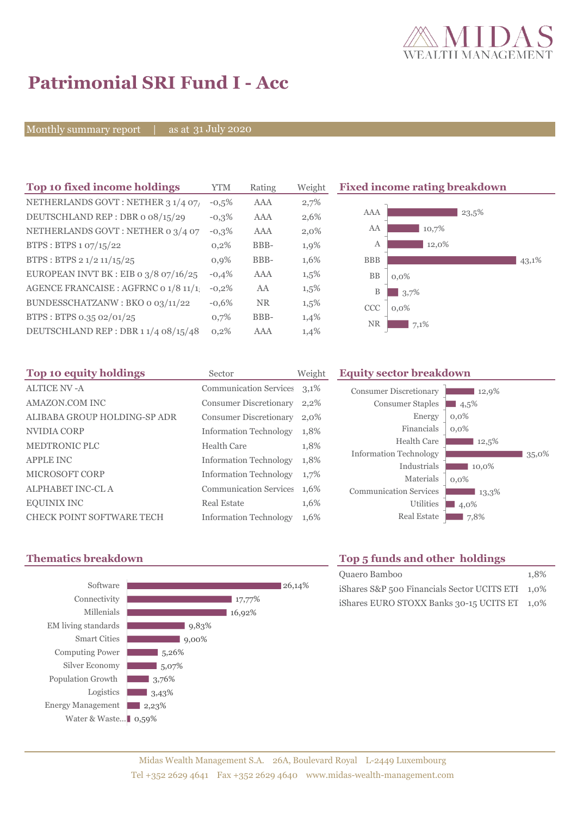

# **Patrimonial SRI Fund I - Acc**

Monthly summary report | as at 31 July 2020

| Top 10 fixed income holdings          | <b>YTM</b> | Rating    | Weigh   |
|---------------------------------------|------------|-----------|---------|
| NETHERLANDS GOVT: NETHER 3 1/4 07/    | $-0.5%$    | AAA       | 2,7%    |
| DEUTSCHLAND REP: DBR o 08/15/29       | $-0.3%$    | AAA       | 2,6%    |
| NETHERLANDS GOVT: NETHER 0 3/4 07     | $-0.3%$    | AAA       | $2,0\%$ |
| BTPS: BTPS 1 07/15/22                 | 0,2%       | BBB-      | 1,9%    |
| BTPS: BTPS 2 1/2 11/15/25             | 0.9%       | BBB-      | 1,6%    |
| EUROPEAN INVT BK : EIB o 3/8 07/16/25 | $-0.4%$    | AAA       | 1,5%    |
| AGENCE FRANCAISE : AGFRNC 0 1/8 11/1! | $-0,2%$    | AA        | 1,5%    |
| BUNDESSCHATZANW: BKO o 03/11/22       | $-0.6%$    | <b>NR</b> | 1,5%    |
| BTPS: BTPS 0.35 02/01/25              | 0,7%       | BBB-      | 1,4%    |
| DEUTSCHLAND REP: DBR 11/4 08/15/48    | 0,2%       | AAA       | 1,4%    |
|                                       |            |           |         |

**Fixed income rating breakdown** 



| Top 10 equity holdings           | Sector                        | Weigh   |
|----------------------------------|-------------------------------|---------|
| <b>ALTICE NV-A</b>               | <b>Communication Services</b> | 3,1%    |
| AMAZON.COM INC                   | <b>Consumer Discretionary</b> | $2,2\%$ |
| ALIBABA GROUP HOLDING-SP ADR     | <b>Consumer Discretionary</b> | 2,0%    |
| NVIDIA CORP                      | <b>Information Technology</b> | 1,8%    |
| <b>MEDTRONIC PLC</b>             | Health Care                   | 1,8%    |
| <b>APPLE INC</b>                 | <b>Information Technology</b> | 1,8%    |
| <b>MICROSOFT CORP</b>            | <b>Information Technology</b> | 1,7%    |
| <b>ALPHABET INC-CL A</b>         | <b>Communication Services</b> | 1,6%    |
| <b>EQUINIX INC</b>               | Real Estate                   | 1,6%    |
| <b>CHECK POINT SOFTWARE TECH</b> | <b>Information Technology</b> | 1,6%    |

#### **Top 10 Equity sector breakdown**

| <b>Consumer Discretionary</b><br><b>Consumer Staples</b><br>Energy<br>Financials<br><b>Health Care</b><br><b>Information Technology</b> | 12,9%<br>4,5%<br>$0,0\%$<br>$0.0\%$<br>12,5% | 35,0% |
|-----------------------------------------------------------------------------------------------------------------------------------------|----------------------------------------------|-------|
| Industrials<br>Materials<br><b>Communication Services</b><br><b>Utilities</b><br><b>Real Estate</b>                                     | 10,0%<br>$0.0\%$<br>13,3%<br>4,0%<br>7,8%    |       |



## **Thematics breakdown Top 5 funds and other holdings**

| Quaero Bamboo                                    | 1.8% |
|--------------------------------------------------|------|
| iShares S&P 500 Financials Sector UCITS ETI 1,0% |      |
| iShares EURO STOXX Banks 30-15 UCITS ET 1,0%     |      |